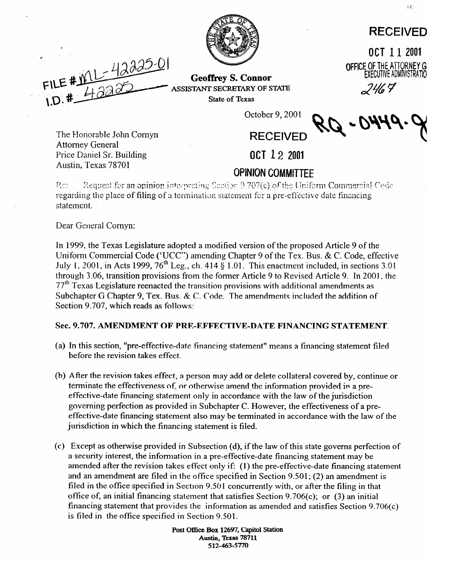## **RECEIVED**

OCT 11 2001

OFFICE OF THE ATTORNEY GI **EXECUTIVE ADMINISTRATIO** 



Geoffrey s. Connor **ASSISTANT SECRETARY OF STATE** State of **Texas** 

 $2467$ 

**F \** 

The Honorable John Comyn

Price Daniel Sr. Building Austin, Texas 78701

Attorney General

October 9,200l

# **RECEIVED**

**OCT 12 2001** 

**CORNIGATE:**<br>Request for an opinion interpreting Section 9.707(c) of the Uniform Commercial Cede  $P_{\rm eff}$ regarding the place of filing of a termination statement for a pre-effective date financing statement.

Dear General Cornyn:

In 1999, the Texas Legislature adopted a modified version of the proposed Article 9 of the<br>Uniform Commercial Code ('UCC'') amending Chapter 9 of the Tex. Bus. & C. Code, effective July 1, 2001, in Acts 1999,  $76<sup>th</sup>$  Leg., ch. 414 § 1.01. This enactment included, in sections 3.01 through 3.06, transition provisions from the former Article 9 to Revised Article 9. In 2001, the  $77<sup>th</sup>$  Texas Legislature reenacted the transition provisions with additional amendments as Subchapter G Chapter 9, Tex. Bus. & C. Code. The amendments included the addition of Subchapter G Chapter 9, Tex. Bus. & C. Code. The amendments included the addition of Section 9.707, which reads as follows:

# **Sec. 9.707. AMENDMENT OF PRE-EFFECTIVE-DATE FINANCING STATEMENT.**

- (a) In this section, "pre-effective-date financing statement" means a financing statement filed
- (b) After the revision takes effect, a person may add or delete collateral covered by, continue or terminate the effectiveness of, or otherwise amend the information provided in a preeffective-date financing statement only in accordance with the law of the jurisdiction governing perfection as provided in Subchapter C. However, the effectiveness of a preeffective-date financing statement also may be terminated in accordance with the law of the jurisdiction in which the financing statement is filed. jurisdiction in which the financing statement is filed.
- (c) Except as otherwise provided in Subsection (d), if the law of this state governs perfection of a security interest, the information in a pre-effective-date financing statement may be amended after the revision takes effect only if: (1) the pre-effective-date financing statement and an amendment are filed in the office specified in Section  $9.501$ ; (2) an amendment is filed in the office specified in Section 9.501 concurrently with, or after the filing in that office of, an initial financing statement that satisfies Section 9.706(c); or  $(3)$  an initial financing statement that provides the information as amended and satisfies Section 9.706(c) is filed in the office specified in Section 9.501.

Post Office Box 12697, Capitol Station **Austin, Texas 78711** 512-463-5770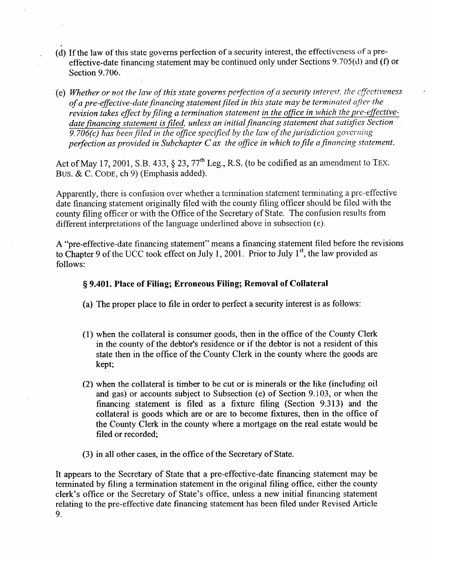- *6)*  If the law of this state governs perfection of a security interest, the effectiveness of a preeffective-date financing statement may be continued only under Sections 9.705(d) and (f) or Section 9.706.
- *I e a <i>Whether or not the law of this state governs perfection of a security interest, the cyfectiveness in the state security interest. of a pre-effective-date financing statement filed in this state may be terminated after the* revision takes effect by filing a termination statement in the office in which the pre-effectivedate financing statement is filed, unless an initial financing statement that satisfies Section 9.706(c) has been filed in the office specified by the law of the jurisdiction governing *peflection as provided in Subchapter C as the office in which to file a financing statement.*

Act of May 17,2001, S.B. 433, \$ 23, 77'h Leg., R.S. (to be codified as an amendment to **TEX. BUS.** & C. **CODE,** ch 9) (Emphasis added).

Apparently, there is confusion over whether a termination statement terminating a pre-effective date financing statement originally filed with the county filing officer should be filed with the county filing officer or with the Office of the Secretary of State. The confusion results from county filing officer or with the Office of the Secretary of State. The confusion results from different interpretations of the language underlined above in subsection (e).

 $\mu$  pre-effective-date financing statement means a final means a final file  $\mu$  final file  $\mu$  revisions  $t_{\rm C}$  of the UCC took effect on July 1,2001. There  $s$  any 1, the law provided  $\alpha$ follows:

### **8 9.401. Place of Filing; Erroneous Filing; Removal of Collateral**

(a) The proper place to file in order to perfect a security interest is as follows:

- (1) when the collateral is consumer goods, then in the office of the County Clerk state then in the office of the County Clerk in the county where the goods are  $s_{\rm t}$  in the office of the county  $\frac{1}{2}$  of the goods are the goods are the goods are the goods are the goods are the goods are the goods are the goods are the goods are the goods are the goods are the goods are the  $k$ ept;
- (2) when the collateral is timber to be cut or is minerals or the like (including oil and gas) or accounts subject to Subsection (e) of Section 9.103, or when the financing statement is filed as a fixture filing (Section 9.313) and the collateral is goods which are or are to become fixtures, then in the office of the County Clerk in the county where a mortgage on the real estate would be filed or recorded;
- (3) in all other cases, in the office of the Secretary of State.

It appears to the Secretary of State that a pre-effective-date financing statement may be terminated by filing a termination statement in the original filing office, either the county clerk's office or the Secretary of State's office, unless a new initial financing statement relating to the pre-effective date financing statement has been filed under Revised Article  $\mathfrak{g}_{\mathfrak{g}}$